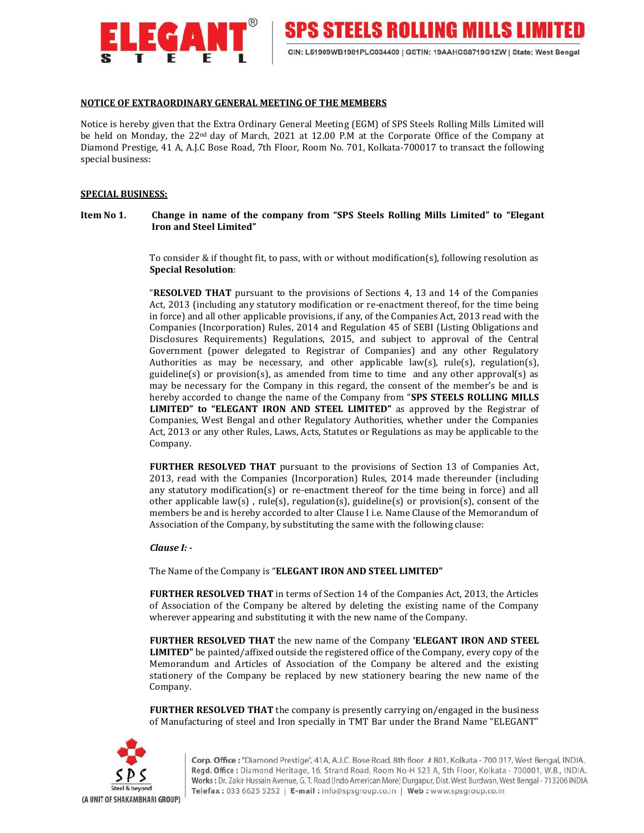

**SPS STEELS ROLLING MILLS LIMIT** 

# NOTICE OF EXTRAORDINARY GENERAL MEETING OF THE MEMBERS

Notice is hereby given that the Extra Ordinary General Meeting (EGM) of SPS Steels Rolling Mills Limited will be held on Monday, the 22nd day of March, 2021 at 12.00 P.M at the Corporate Office of the Company at Diamond Prestige, 41 A, A.J.C Bose Road, 7th Floor, Room No. 701, Kolkata-700017 to transact the following special business:

## SPECIAL BUSINESS:

Item No 1. Change in name of the company from "SPS Steels Rolling Mills Limited" to "Elegant Iron and Steel Limited"

> To consider & if thought fit, to pass, with or without modification(s), following resolution as Special Resolution:

> "RESOLVED THAT pursuant to the provisions of Sections 4, 13 and 14 of the Companies Act, 2013 (including any statutory modification or re-enactment thereof, for the time being in force) and all other applicable provisions, if any, of the Companies Act, 2013 read with the Companies (Incorporation) Rules, 2014 and Regulation 45 of SEBI (Listing Obligations and Disclosures Requirements) Regulations, 2015, and subject to approval of the Central Government (power delegated to Registrar of Companies) and any other Regulatory Authorities as may be necessary, and other applicable law(s), rule(s), regulation(s), guideline(s) or provision(s), as amended from time to time and any other approval(s) as may be necessary for the Company in this regard, the consent of the member's be and is hereby accorded to change the name of the Company from "SPS STEELS ROLLING MILLS LIMITED" to "ELEGANT IRON AND STEEL LIMITED" as approved by the Registrar of Companies, West Bengal and other Regulatory Authorities, whether under the Companies Act, 2013 or any other Rules, Laws, Acts, Statutes or Regulations as may be applicable to the Company.

> FURTHER RESOLVED THAT pursuant to the provisions of Section 13 of Companies Act, 2013, read with the Companies (Incorporation) Rules, 2014 made thereunder (including any statutory modification(s) or re-enactment thereof for the time being in force) and all other applicable law(s), rule(s), regulation(s), guideline(s) or provision(s), consent of the members be and is hereby accorded to alter Clause I i.e. Name Clause of the Memorandum of Association of the Company, by substituting the same with the following clause:

### Clause I: -

The Name of the Company is "ELEGANT IRON AND STEEL LIMITED"

FURTHER RESOLVED THAT in terms of Section 14 of the Companies Act, 2013, the Articles of Association of the Company be altered by deleting the existing name of the Company wherever appearing and substituting it with the new name of the Company.

FURTHER RESOLVED THAT the new name of the Company 'ELEGANT IRON AND STEEL LIMITED" be painted/affixed outside the registered office of the Company, every copy of the Memorandum and Articles of Association of the Company be altered and the existing stationery of the Company be replaced by new stationery bearing the new name of the Company.

FURTHER RESOLVED THAT the company is presently carrying on/engaged in the business of Manufacturing of steel and Iron specially in TMT Bar under the Brand Name "ELEGANT"

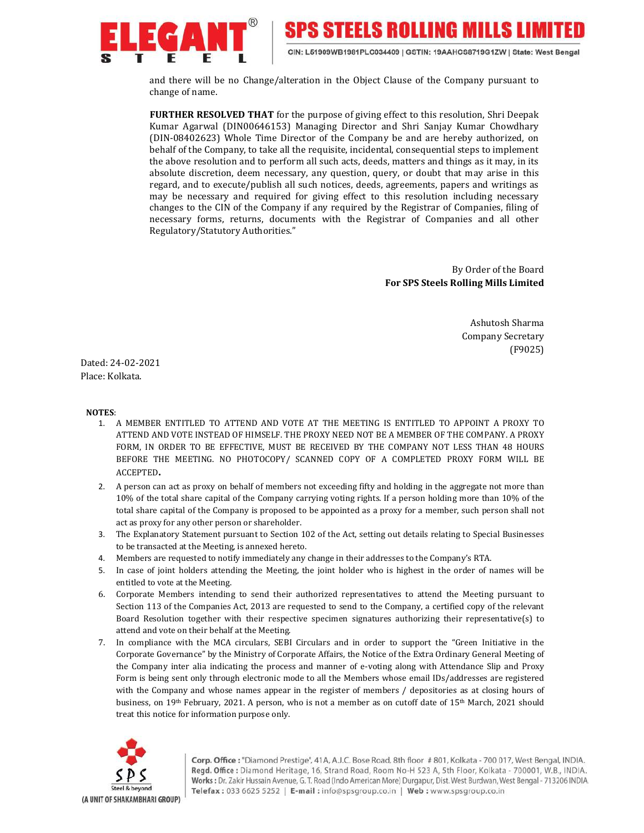

**SPS STEELS ROLLING MILLS LIMIT** 

CIN: L51909WB1981PLC034409 | GSTIN: 19AAHCS8719G1ZW | State: West Bengal

and there will be no Change/alteration in the Object Clause of the Company pursuant to change of name.

FURTHER RESOLVED THAT for the purpose of giving effect to this resolution, Shri Deepak Kumar Agarwal (DIN00646153) Managing Director and Shri Sanjay Kumar Chowdhary (DIN-08402623) Whole Time Director of the Company be and are hereby authorized, on behalf of the Company, to take all the requisite, incidental, consequential steps to implement the above resolution and to perform all such acts, deeds, matters and things as it may, in its absolute discretion, deem necessary, any question, query, or doubt that may arise in this regard, and to execute/publish all such notices, deeds, agreements, papers and writings as may be necessary and required for giving effect to this resolution including necessary changes to the CIN of the Company if any required by the Registrar of Companies, filing of necessary forms, returns, documents with the Registrar of Companies and all other Regulatory/Statutory Authorities."

> By Order of the Board For SPS Steels Rolling Mills Limited

> > Ashutosh Sharma Company Secretary (F9025)

Dated: 24-02-2021 Place: Kolkata.

### NOTES:

- 1. A MEMBER ENTITLED TO ATTEND AND VOTE AT THE MEETING IS ENTITLED TO APPOINT A PROXY TO ATTEND AND VOTE INSTEAD OF HIMSELF. THE PROXY NEED NOT BE A MEMBER OF THE COMPANY. A PROXY FORM, IN ORDER TO BE EFFECTIVE, MUST BE RECEIVED BY THE COMPANY NOT LESS THAN 48 HOURS BEFORE THE MEETING. NO PHOTOCOPY/ SCANNED COPY OF A COMPLETED PROXY FORM WILL BE ACCEPTED.
- 2. A person can act as proxy on behalf of members not exceeding fifty and holding in the aggregate not more than 10% of the total share capital of the Company carrying voting rights. If a person holding more than 10% of the total share capital of the Company is proposed to be appointed as a proxy for a member, such person shall not act as proxy for any other person or shareholder.
- 3. The Explanatory Statement pursuant to Section 102 of the Act, setting out details relating to Special Businesses to be transacted at the Meeting, is annexed hereto.
- 4. Members are requested to notify immediately any change in their addresses to the Company's RTA.
- 5. In case of joint holders attending the Meeting, the joint holder who is highest in the order of names will be entitled to vote at the Meeting.
- 6. Corporate Members intending to send their authorized representatives to attend the Meeting pursuant to Section 113 of the Companies Act, 2013 are requested to send to the Company, a certified copy of the relevant Board Resolution together with their respective specimen signatures authorizing their representative(s) to attend and vote on their behalf at the Meeting.
- 7. In compliance with the MCA circulars, SEBI Circulars and in order to support the "Green Initiative in the Corporate Governance" by the Ministry of Corporate Affairs, the Notice of the Extra Ordinary General Meeting of the Company inter alia indicating the process and manner of e-voting along with Attendance Slip and Proxy Form is being sent only through electronic mode to all the Members whose email IDs/addresses are registered with the Company and whose names appear in the register of members / depositories as at closing hours of business, on 19<sup>th</sup> February, 2021. A person, who is not a member as on cutoff date of 15<sup>th</sup> March, 2021 should treat this notice for information purpose only.

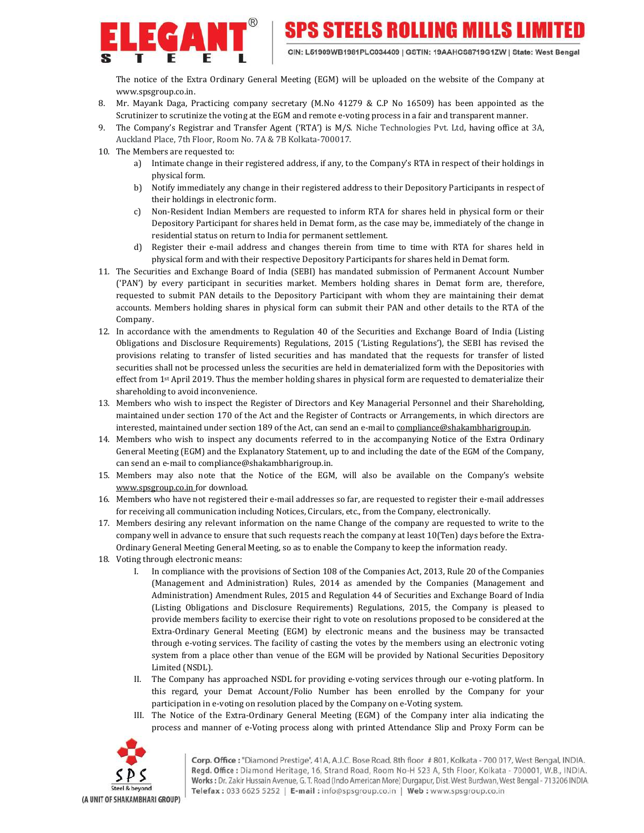

The notice of the Extra Ordinary General Meeting (EGM) will be uploaded on the website of the Company at www.spsgroup.co.in.

- 8. Mr. Mayank Daga, Practicing company secretary (M.No 41279 & C.P No 16509) has been appointed as the Scrutinizer to scrutinize the voting at the EGM and remote e-voting process in a fair and transparent manner.
- 9. The Company's Registrar and Transfer Agent ('RTA') is M/S. Niche Technologies Pvt. Ltd, having office at 3A, Auckland Place, 7th Floor, Room No. 7A & 7B Kolkata-700017.
- 10. The Members are requested to:
	- a) Intimate change in their registered address, if any, to the Company's RTA in respect of their holdings in physical form.
	- b) Notify immediately any change in their registered address to their Depository Participants in respect of their holdings in electronic form.
	- c) Non-Resident Indian Members are requested to inform RTA for shares held in physical form or their Depository Participant for shares held in Demat form, as the case may be, immediately of the change in residential status on return to India for permanent settlement.
	- d) Register their e-mail address and changes therein from time to time with RTA for shares held in physical form and with their respective Depository Participants for shares held in Demat form.
- 11. The Securities and Exchange Board of India (SEBI) has mandated submission of Permanent Account Number ('PAN') by every participant in securities market. Members holding shares in Demat form are, therefore, requested to submit PAN details to the Depository Participant with whom they are maintaining their demat accounts. Members holding shares in physical form can submit their PAN and other details to the RTA of the Company.
- 12. In accordance with the amendments to Regulation 40 of the Securities and Exchange Board of India (Listing Obligations and Disclosure Requirements) Regulations, 2015 ('Listing Regulations'), the SEBI has revised the provisions relating to transfer of listed securities and has mandated that the requests for transfer of listed securities shall not be processed unless the securities are held in dematerialized form with the Depositories with effect from 1st April 2019. Thus the member holding shares in physical form are requested to dematerialize their shareholding to avoid inconvenience.
- 13. Members who wish to inspect the Register of Directors and Key Managerial Personnel and their Shareholding, maintained under section 170 of the Act and the Register of Contracts or Arrangements, in which directors are interested, maintained under section 189 of the Act, can send an e-mail to compliance@shakambharigroup.in.
- 14. Members who wish to inspect any documents referred to in the accompanying Notice of the Extra Ordinary General Meeting (EGM) and the Explanatory Statement, up to and including the date of the EGM of the Company, can send an e-mail to compliance@shakambharigroup.in.
- 15. Members may also note that the Notice of the EGM, will also be available on the Company's website www.spsgroup.co.in for download.
- 16. Members who have not registered their e-mail addresses so far, are requested to register their e-mail addresses for receiving all communication including Notices, Circulars, etc., from the Company, electronically.
- 17. Members desiring any relevant information on the name Change of the company are requested to write to the company well in advance to ensure that such requests reach the company at least 10(Ten) days before the Extra-Ordinary General Meeting General Meeting, so as to enable the Company to keep the information ready.
- 18. Voting through electronic means:
	- I. In compliance with the provisions of Section 108 of the Companies Act, 2013, Rule 20 of the Companies (Management and Administration) Rules, 2014 as amended by the Companies (Management and Administration) Amendment Rules, 2015 and Regulation 44 of Securities and Exchange Board of India (Listing Obligations and Disclosure Requirements) Regulations, 2015, the Company is pleased to provide members facility to exercise their right to vote on resolutions proposed to be considered at the Extra-Ordinary General Meeting (EGM) by electronic means and the business may be transacted through e-voting services. The facility of casting the votes by the members using an electronic voting system from a place other than venue of the EGM will be provided by National Securities Depository Limited (NSDL).
	- II. The Company has approached NSDL for providing e-voting services through our e-voting platform. In this regard, your Demat Account/Folio Number has been enrolled by the Company for your participation in e-voting on resolution placed by the Company on e-Voting system.
	- III. The Notice of the Extra-Ordinary General Meeting (EGM) of the Company inter alia indicating the process and manner of e-Voting process along with printed Attendance Slip and Proxy Form can be

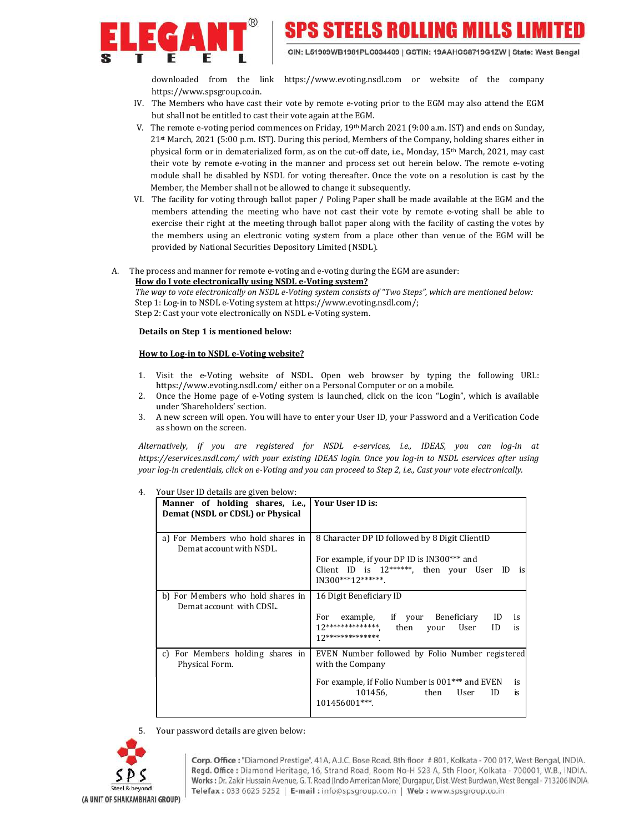

downloaded from the link https://www.evoting.nsdl.com or website of the company https://www.spsgroup.co.in.

- IV. The Members who have cast their vote by remote e-voting prior to the EGM may also attend the EGM but shall not be entitled to cast their vote again at the EGM.
- V. The remote e-voting period commences on Friday, 19<sup>th</sup> March 2021 (9:00 a.m. IST) and ends on Sunday, 21st March, 2021 (5:00 p.m. IST). During this period, Members of the Company, holding shares either in physical form or in dematerialized form, as on the cut-off date, i.e., Monday, 15th March, 2021, may cast their vote by remote e-voting in the manner and process set out herein below. The remote e-voting module shall be disabled by NSDL for voting thereafter. Once the vote on a resolution is cast by the Member, the Member shall not be allowed to change it subsequently.
- VI. The facility for voting through ballot paper / Poling Paper shall be made available at the EGM and the members attending the meeting who have not cast their vote by remote e-voting shall be able to exercise their right at the meeting through ballot paper along with the facility of casting the votes by the members using an electronic voting system from a place other than venue of the EGM will be provided by National Securities Depository Limited (NSDL).
- A. The process and manner for remote e-voting and e-voting during the EGM are asunder:

### How do I vote electronically using NSDL e-Voting system?

The way to vote electronically on NSDL e-Voting system consists of "Two Steps", which are mentioned below: Step 1: Log-in to NSDL e-Voting system at https://www.evoting.nsdl.com/; Step 2: Cast your vote electronically on NSDL e-Voting system.

## Details on Step 1 is mentioned below:

## How to Log-in to NSDL e-Voting website?

- 1. Visit the e-Voting website of NSDL. Open web browser by typing the following URL: https://www.evoting.nsdl.com/ either on a Personal Computer or on a mobile.
- 2. Once the Home page of e-Voting system is launched, click on the icon "Login", which is available under 'Shareholders' section.
- 3. A new screen will open. You will have to enter your User ID, your Password and a Verification Code as shown on the screen.

Alternatively, if you are registered for NSDL e-services, i.e., IDEAS, you can log-in at https://eservices.nsdl.com/ with your existing IDEAS login. Once you log-in to NSDL eservices after using your log-in credentials, click on e-Voting and you can proceed to Step 2, i.e., Cast your vote electronically.

| Manner of holding shares, i.e., Your User ID is:<br>Demat (NSDL or CDSL) or Physical |                                                                                                                                                                                               |
|--------------------------------------------------------------------------------------|-----------------------------------------------------------------------------------------------------------------------------------------------------------------------------------------------|
| a) For Members who hold shares in<br>Demat account with NSDL.                        | 8 Character DP ID followed by 8 Digit ClientID<br>For example, if your DP ID is IN300*** and<br>Client ID is 12******, then your User ID<br>is<br>IN300***12******.                           |
| b) For Members who hold shares in<br>Demat account with CDSL.                        | 16 Digit Beneficiary ID<br>For example, if your Beneficiary ID<br>is<br>12***************, then your User<br>ID<br>is<br>$12*******************$                                              |
| For Members holding shares in<br>c)<br>Physical Form.                                | EVEN Number followed by Folio Number registered<br>with the Company<br>For example, if Folio Number is 001 <sup>***</sup> and EVEN<br>is<br>101456, then<br>ID<br>User<br>is<br>101456001***. |

4. Your User ID details are given below:

5. Your password details are given below:

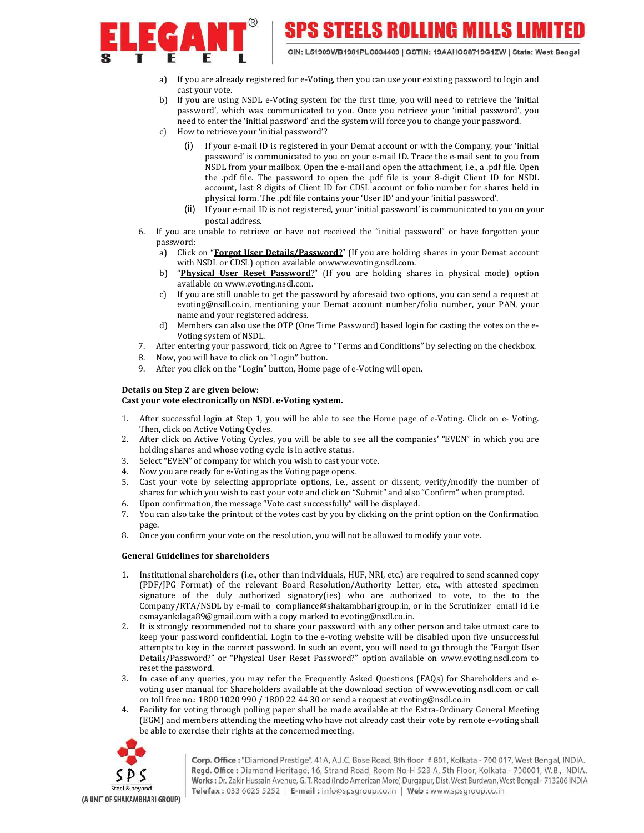

SPS STEELS ROLLING MILLS LIMI

CIN: L51909WB1981PLC034409 | GSTIN: 19AAHCS8719G1ZW | State: West Bengal

- a) If you are already registered for e-Voting, then you can use your existing password to login and cast your vote.
- b) If you are using NSDL e-Voting system for the first time, you will need to retrieve the 'initial password', which was communicated to you. Once you retrieve your 'initial password', you need to enter the 'initial password' and the system will force you to change your password.
- c) How to retrieve your 'initial password'?
	- (i) If your e-mail ID is registered in your Demat account or with the Company, your 'initial password' is communicated to you on your e-mail ID. Trace the e-mail sent to you from NSDL from your mailbox. Open the e-mail and open the attachment, i.e., a .pdf file. Open the .pdf file. The password to open the .pdf file is your 8-digit Client ID for NSDL account, last 8 digits of Client ID for CDSL account or folio number for shares held in physical form. The .pdf file contains your 'User ID' and your 'initial password'.
	- (ii) If your e-mail ID is not registered, your 'initial password' is communicated to you on your postal address.
- 6. If you are unable to retrieve or have not received the "initial password" or have forgotten your password:
	- a) Click on "**Forgot User Details/Password?**" (If you are holding shares in your Demat account with NSDL or CDSL) option available onwww.evoting.nsdl.com.
	- b) "Physical User Reset Password?" (If you are holding shares in physical mode) option available on www.evoting.nsdl.com.
	- c) If you are still unable to get the password by aforesaid two options, you can send a request at evoting@nsdl.co.in, mentioning your Demat account number/folio number, your PAN, your name and your registered address.
	- d) Members can also use the OTP (One Time Password) based login for casting the votes on the e-Voting system of NSDL.
- 7. After entering your password, tick on Agree to "Terms and Conditions" by selecting on the checkbox.
- 8. Now, you will have to click on "Login" button.
- 9. After you click on the "Login" button, Home page of e-Voting will open.

## Details on Step 2 are given below:

## Cast your vote electronically on NSDL e-Voting system.

- 1. After successful login at Step 1, you will be able to see the Home page of e-Voting. Click on e- Voting. Then, click on Active Voting Cycles.
- 2. After click on Active Voting Cycles, you will be able to see all the companies' "EVEN" in which you are holding shares and whose voting cycle is in active status.
- 3. Select "EVEN" of company for which you wish to cast your vote.
- 4. Now you are ready for e-Voting as the Voting page opens.
- 5. Cast your vote by selecting appropriate options, i.e., assent or dissent, verify/modify the number of shares for which you wish to cast your vote and click on "Submit" and also "Confirm" when prompted.
- 6. Upon confirmation, the message "Vote cast successfully" will be displayed.
- 7. You can also take the printout of the votes cast by you by clicking on the print option on the Confirmation page.
- 8. Once you confirm your vote on the resolution, you will not be allowed to modify your vote.

## General Guidelines for shareholders

- 1. Institutional shareholders (i.e., other than individuals, HUF, NRI, etc.) are required to send scanned copy (PDF/JPG Format) of the relevant Board Resolution/Authority Letter, etc., with attested specimen signature of the duly authorized signatory(ies) who are authorized to vote, to the to the Company/RTA/NSDL by e-mail to compliance@shakambharigroup.in, or in the Scrutinizer email id i.e csmayankdaga89@gmail.com with a copy marked to evoting@nsdl.co.in.
- 2. It is strongly recommended not to share your password with any other person and take utmost care to keep your password confidential. Login to the e-voting website will be disabled upon five unsuccessful attempts to key in the correct password. In such an event, you will need to go through the "Forgot User Details/Password?" or "Physical User Reset Password?" option available on www.evoting.nsdl.com to reset the password.
- 3. In case of any queries, you may refer the Frequently Asked Questions (FAQs) for Shareholders and evoting user manual for Shareholders available at the download section of www.evoting.nsdl.com or call on toll free no.: 1800 1020 990 / 1800 22 44 30 or send a request at evoting@nsdl.co.in
- 4. Facility for voting through polling paper shall be made available at the Extra-Ordinary General Meeting (EGM) and members attending the meeting who have not already cast their vote by remote e-voting shall be able to exercise their rights at the concerned meeting.



Corp. Office: "Diamond Prestige", 41A, A.J.C. Bose Road, 8th floor #801, Kolkata - 700 017, West Bengal, INDIA. Regd. Office: Diamond Heritage, 16, Strand Road, Room No-H 523 A, 5th Floor, Kolkata - 700001, W.B., INDIA. Works: Dr. Zakir Hussain Avenue, G. T. Road (Indo American More) Durgapur, Dist. West Burdwan, West Bengal - 713206 INDIA. Telefax: 033 6625 5252 | E-mail: info@spsgroup.co.in | Web: www.spsgroup.co.in

(A UNIT OF SHAKAMBHARI GROUP)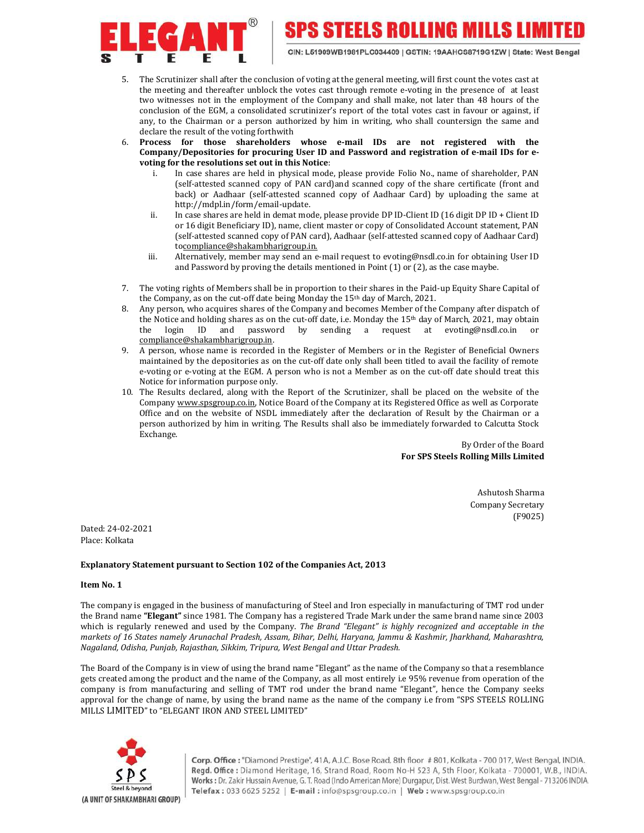

**SPS STEELS ROLLING MILLS LIMIT** 

- 5. The Scrutinizer shall after the conclusion of voting at the general meeting, will first count the votes cast at the meeting and thereafter unblock the votes cast through remote e-voting in the presence of at least two witnesses not in the employment of the Company and shall make, not later than 48 hours of the conclusion of the EGM, a consolidated scrutinizer's report of the total votes cast in favour or against, if any, to the Chairman or a person authorized by him in writing, who shall countersign the same and declare the result of the voting forthwith
- 6. Process for those shareholders whose e-mail IDs are not registered with the Company/Depositories for procuring User ID and Password and registration of e-mail IDs for evoting for the resolutions set out in this Notice:
	- i. In case shares are held in physical mode, please provide Folio No., name of shareholder, PAN (self-attested scanned copy of PAN card)and scanned copy of the share certificate (front and back) or Aadhaar (self-attested scanned copy of Aadhaar Card) by uploading the same at http://mdpl.in/form/email-update.
	- ii. In case shares are held in demat mode, please provide DP ID-Client ID (16 digit DP ID + Client ID or 16 digit Beneficiary ID), name, client master or copy of Consolidated Account statement, PAN (self-attested scanned copy of PAN card), Aadhaar (self-attested scanned copy of Aadhaar Card) tocompliance@shakambharigroup.in.
	- iii. Alternatively, member may send an e-mail request to evoting@nsdl.co.in for obtaining User ID and Password by proving the details mentioned in Point (1) or (2), as the case maybe.
- 7. The voting rights of Members shall be in proportion to their shares in the Paid-up Equity Share Capital of the Company, as on the cut-off date being Monday the 15th day of March, 2021.
- 8. Any person, who acquires shares of the Company and becomes Member of the Company after dispatch of the Notice and holding shares as on the cut-off date, i.e. Monday the 15th day of March, 2021, may obtain the login ID and password by sending a request at evoting@nsdl.co.in compliance@shakambharigroup.in.
- 9. A person, whose name is recorded in the Register of Members or in the Register of Beneficial Owners maintained by the depositories as on the cut-off date only shall been titled to avail the facility of remote e-voting or e-voting at the EGM. A person who is not a Member as on the cut-off date should treat this Notice for information purpose only.
- 10. The Results declared, along with the Report of the Scrutinizer, shall be placed on the website of the Company www.spsgroup.co.in, Notice Board of the Company at its Registered Office as well as Corporate Office and on the website of NSDL immediately after the declaration of Result by the Chairman or a person authorized by him in writing. The Results shall also be immediately forwarded to Calcutta Stock Exchange.

 By Order of the Board For SPS Steels Rolling Mills Limited

> Ashutosh Sharma Company Secretary (F9025)

Dated: 24-02-2021 Place: Kolkata

### Explanatory Statement pursuant to Section 102 of the Companies Act, 2013

#### Item No. 1

The company is engaged in the business of manufacturing of Steel and Iron especially in manufacturing of TMT rod under the Brand name "Elegant" since 1981. The Company has a registered Trade Mark under the same brand name since 2003 which is regularly renewed and used by the Company. The Brand "Elegant" is highly recognized and acceptable in the markets of 16 States namely Arunachal Pradesh, Assam, Bihar, Delhi, Haryana, Jammu & Kashmir, Jharkhand, Maharashtra, Nagaland, Odisha, Punjab, Rajasthan, Sikkim, Tripura, West Bengal and Uttar Pradesh.

The Board of the Company is in view of using the brand name "Elegant" as the name of the Company so that a resemblance gets created among the product and the name of the Company, as all most entirely i.e 95% revenue from operation of the company is from manufacturing and selling of TMT rod under the brand name "Elegant", hence the Company seeks approval for the change of name, by using the brand name as the name of the company i.e from "SPS STEELS ROLLING MILLS LIMITED" to "ELEGANT IRON AND STEEL LIMITED"

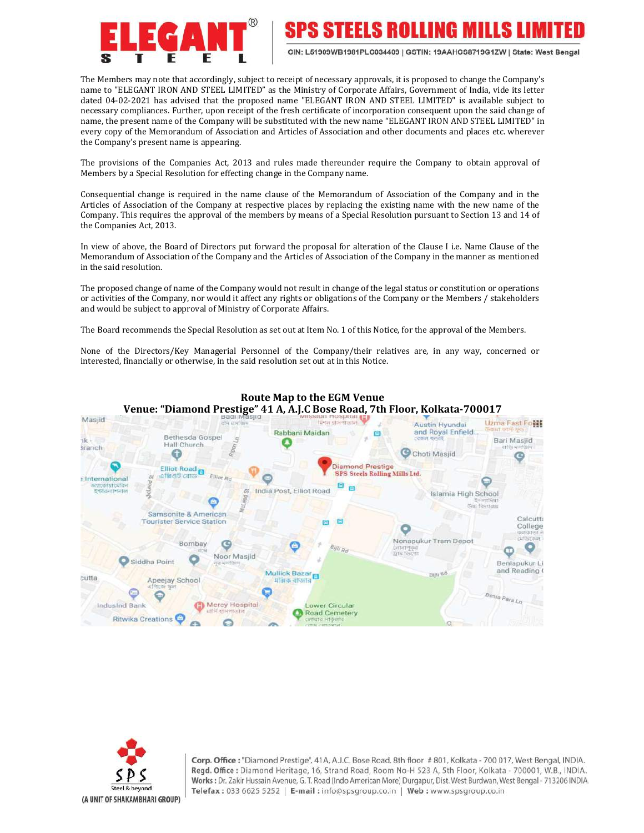

SPS STEELS ROLLING MILLS LIM

CIN: L51909WB1981PLC034409 | GSTIN: 19AAHCS8719G1ZW | State: West Bengal

The Members may note that accordingly, subject to receipt of necessary approvals, it is proposed to change the Company's name to "ELEGANT IRON AND STEEL LIMITED" as the Ministry of Corporate Affairs, Government of India, vide its letter dated 04-02-2021 has advised that the proposed name "ELEGANT IRON AND STEEL LIMITED" is available subject to necessary compliances. Further, upon receipt of the fresh certificate of incorporation consequent upon the said change of name, the present name of the Company will be substituted with the new name "ELEGANT IRON AND STEEL LIMITED" in every copy of the Memorandum of Association and Articles of Association and other documents and places etc. wherever the Company's present name is appearing.

The provisions of the Companies Act, 2013 and rules made thereunder require the Company to obtain approval of Members by a Special Resolution for effecting change in the Company name.

Consequential change is required in the name clause of the Memorandum of Association of the Company and in the Articles of Association of the Company at respective places by replacing the existing name with the new name of the Company. This requires the approval of the members by means of a Special Resolution pursuant to Section 13 and 14 of the Companies Act, 2013.

In view of above, the Board of Directors put forward the proposal for alteration of the Clause I i.e. Name Clause of the Memorandum of Association of the Company and the Articles of Association of the Company in the manner as mentioned in the said resolution.

The proposed change of name of the Company would not result in change of the legal status or constitution or operations or activities of the Company, nor would it affect any rights or obligations of the Company or the Members / stakeholders and would be subject to approval of Ministry of Corporate Affairs.

The Board recommends the Special Resolution as set out at Item No. 1 of this Notice, for the approval of the Members.

None of the Directors/Key Managerial Personnel of the Company/their relatives are, in any way, concerned or interested, financially or otherwise, in the said resolution set out at in this Notice.



Route Map to the EGM Venue Venue: "Diamond Prestige" 41 A, A.J.C Bose Road, 7th Floor, Kolkata-700017

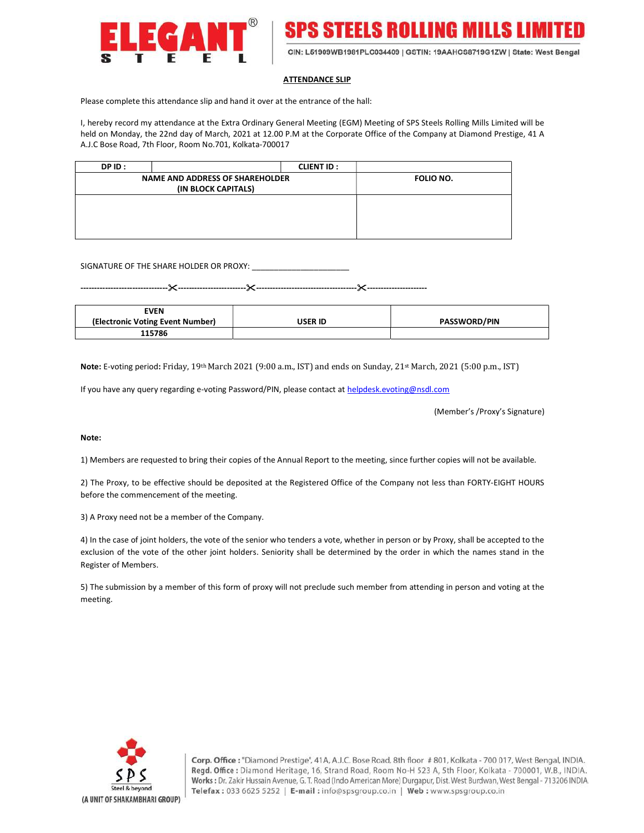



#### ATTENDANCE SLIP

Please complete this attendance slip and hand it over at the entrance of the hall:

I, hereby record my attendance at the Extra Ordinary General Meeting (EGM) Meeting of SPS Steels Rolling Mills Limited will be held on Monday, the 22nd day of March, 2021 at 12.00 P.M at the Corporate Office of the Company at Diamond Prestige, 41 A A.J.C Bose Road, 7th Floor, Room No.701, Kolkata-700017

| DPID: |                                                               | <b>CLIENT ID:</b> |                  |
|-------|---------------------------------------------------------------|-------------------|------------------|
|       | <b>NAME AND ADDRESS OF SHAREHOLDER</b><br>(IN BLOCK CAPITALS) |                   | <b>FOLIO NO.</b> |
|       |                                                               |                   |                  |
|       |                                                               |                   |                  |
|       |                                                               |                   |                  |

SIGNATURE OF THE SHARE HOLDER OR PROXY: \_\_\_\_\_\_\_\_\_\_\_\_\_\_\_\_\_\_\_\_\_\_

--------------------------------------------------------------------------------------------------------------------

| <b>EVEN</b>                      |         |                     |
|----------------------------------|---------|---------------------|
| (Electronic Voting Event Number) | USER ID | <b>PASSWORD/PIN</b> |
| 115786                           |         |                     |

Note: E-voting period: Friday, 19th March 2021 (9:00 a.m., IST) and ends on Sunday, 21st March, 2021 (5:00 p.m., IST)

If you have any query regarding e-voting Password/PIN, please contact at helpdesk.evoting@nsdl.com

(Member's /Proxy's Signature)

#### Note:

1) Members are requested to bring their copies of the Annual Report to the meeting, since further copies will not be available.

2) The Proxy, to be effective should be deposited at the Registered Office of the Company not less than FORTY-EIGHT HOURS before the commencement of the meeting.

3) A Proxy need not be a member of the Company.

4) In the case of joint holders, the vote of the senior who tenders a vote, whether in person or by Proxy, shall be accepted to the exclusion of the vote of the other joint holders. Seniority shall be determined by the order in which the names stand in the Register of Members.

5) The submission by a member of this form of proxy will not preclude such member from attending in person and voting at the meeting.